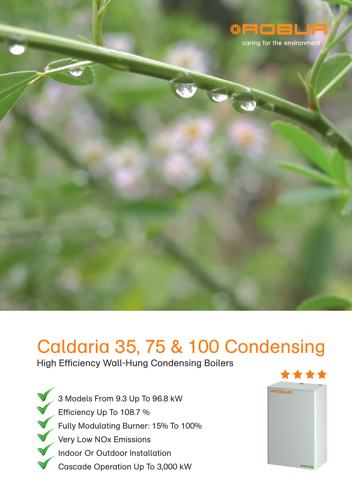

caring for the environment

# Caldaria 35, 75 & 100 Condensing

High Efficiency Wall-Hung Condensing Boilers

3 Models From 9.3 Up To 96.8 kW Efficiency Up To 108.7 % Fully Modulating Burner: 15% To 100% Very Low NOx Emissions Indoor Or Outdoor Installation Cascade Operation Up To 3,000 kW

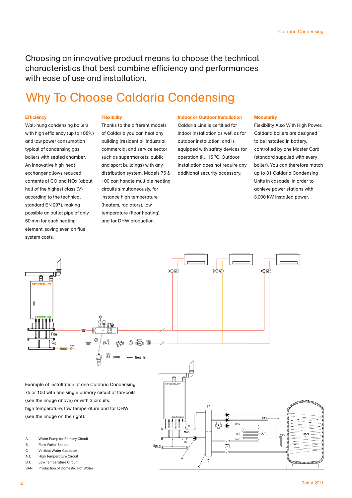Choosing an innovative product means to choose the technical characteristics that best combine efficiency and performances with ease of use and installation.

### Why To Choose Caldaria Condensing

#### **Efficiency**

**Flexibility**

Wall-hung condensing boilers with high efficiency (up to 108%) and low power consumption typical of condensing gas boilers with sealed chamber. An innovative high-heat exchanger allows reduced contents of CO and NOx (about half of the highest class (V) according to the technical standard EN 297), making possible an outlet pipe of only 50 mm for each heating element, saving even on flue system costs.

### Thanks to the different models of Caldaria you can heat any

building (residential, industrial, commercial and service sector such as supermarkets, public and sport buildings) with any distribution system. Models 75 & 100 can handle multiple heating circuits simultaneously, for instance high temperature (heaters, radiators), low temperature (floor heating), and for DHW production.

#### **Indoor or Outdoor Installation**

Caldaria Line is certified for indoor installation as well as for outdoor installation, and is equipped with safety devices for operation till -15 °C. Outdoor installation does not require any additional security accessory.

#### **Modularity**

Flexibility Also With High Power. Caldaria boilers are designed to be installed in battery, controlled by one Master Card (standard supplied with every boiler). You can therefore match up to 31 Caldaria Condensing Units in cascade, in order to achieve power stations with 3,000 kW installed power.



SAN. Production of Domestic Hot Water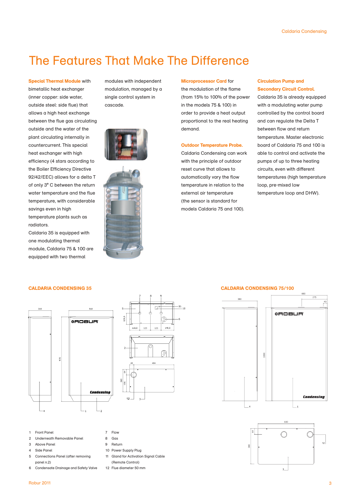### The Features That Make The Difference

**Special Thermal Module** with bimetallic heat exchanger (inner copper: side water, outside steel: side flue) that allows a high heat exchange between the flue gas circulating outside and the water of the plant circulating internally in countercurrent. This special heat exchanger with high efficiency (4 stars according to the Boiler Efficiency Directive 92/42/EEC) allows for a delta T of only 3° C between the return water temperature and the flue temperature, with considerable savings even in high temperature plants such as radiators.

Caldaria 35 is equipped with one modulating thermal module, Caldaria 75 & 100 are equipped with two thermal

modules with independent modulation, managed by a single control system in cascade.





#### **Microprocessor Card** for

the modulation of the flame (from 15% to 100% of the power in the models 75 & 100) in order to provide a heat output proportional to the real heating demand.

#### **Outdoor Temperature Probe.**

Caldaria Condensing can work with the principle of outdoor reset curve that allows to automatically vary the flow temperature in relation to the external air temperature (the sensor is standard for models Caldaria 75 and 100).

#### **Circulation Pump and Secondary Circuit Control.**

Caldaria 35 is already equipped with a modulating water pump controlled by the control board and can regulate the Delta T between flow and return temperature. Master electronic board of Caldaria 75 and 100 is able to control and activate the pumps of up to three heating circuits, even with different temperatures (high temperature loop, pre-mixed low temperature loop and DHW).



## $\overline{11}$ Ē. 115,5 123 123 148.5  $12$

- 1 Front Panel
- 2 Underneath Removable Panel
- 3 Above Panel
- Side Panel
- 5 Connections Panel (after removing panel n.2)
- 6 Condensate Drainage and Safety Valve
- 7 Flow 8 Gas
- 9 Return
- 10 Power Supply Plug
- 11 Gland for Activation Signal Cable
- (Remote Control)
- 12 Flue diameter 50 mm

#### **CALDARIA CONDENSING 35 CALDARIA CONDENSING 75/100**